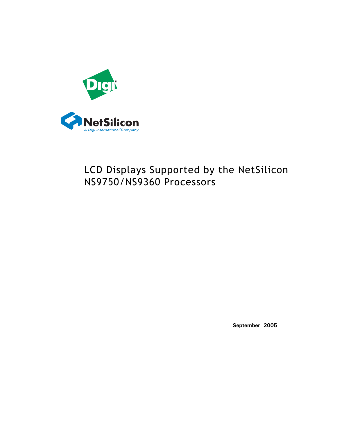

# LCD Displays Supported by the NetSilicon NS9750/NS9360 Processors

**September 2005**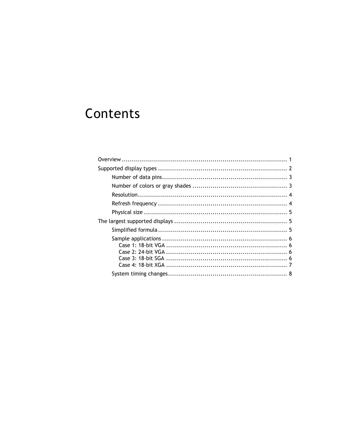# Contents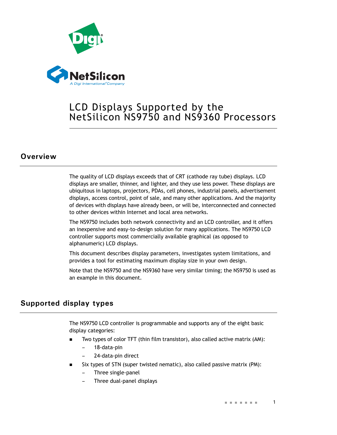

# LCD Displays Supported by the NetSilicon NS9750 and NS9360 Processors

## **Overview**

The quality of LCD displays exceeds that of CRT (cathode ray tube) displays. LCD displays are smaller, thinner, and lighter, and they use less power. These displays are ubiquitous in laptops, projectors, PDAs, cell phones, industrial panels, advertisement displays, access control, point of sale, and many other applications. And the majority of devices with displays have already been, or will be, interconnected and connected to other devices within Internet and local area networks.

The NS9750 includes both network connectivity and an LCD controller, and it offers an inexpensive and easy-to-design solution for many applications. The NS9750 LCD controller supports most commercially available graphical (as opposed to alphanumeric) LCD displays.

This document describes display parameters, investigates system limitations, and provides a tool for estimating maximum display size in your own design.

Note that the NS9750 and the NS9360 have very similar timing; the NS9750 is used as an example in this document.

## **Supported display types**

The NS9750 LCD controller is programmable and supports any of the eight basic display categories:

- Two types of color TFT (thin film transistor), also called active matrix (AM):
	- 18-data-pin
	- 24-data-pin direct
- Six types of STN (super twisted nematic), also called passive matrix (PM):
	- Three single-panel
	- Three dual-panel displays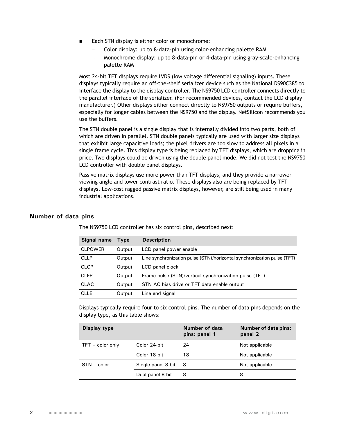- Each STN display is either color or monochrome:
	- Color display: up to 8-data-pin using color-enhancing palette RAM
	- Monochrome display: up to 8-data-pin or 4-data-pin using gray-scale-enhancing palette RAM

Most 24-bit TFT displays require LVDS (low voltage differential signaling) inputs. These displays typically require an off-the-shelf serializer device such as the National DS90C385 to interface the display to the display controller. The NS9750 LCD controller connects directly to the parallel interface of the serializer. (For recommended devices, contact the LCD display manufacturer.) Other displays either connect directly to NS9750 outputs or require buffers, especially for longer cables between the NS9750 and the display. NetSilicon recommends you use the buffers.

The STN double panel is a single display that is internally divided into two parts, both of which are driven in parallel. STN double panels typically are used with larger size displays that exhibit large capacitive loads; the pixel drivers are too slow to address all pixels in a single frame cycle. This display type is being replaced by TFT displays, which are dropping in price. Two displays could be driven using the double panel mode. We did not test the NS9750 LCD controller with double panel displays.

Passive matrix displays use more power than TFT displays, and they provide a narrower viewing angle and lower contrast ratio. These displays also are being replaced by TFT displays. Low-cost ragged passive matrix displays, however, are still being used in many industrial applications.

#### **Number of data pins**

| Signal name    | <b>Type</b> | <b>Description</b>                                                      |
|----------------|-------------|-------------------------------------------------------------------------|
| <b>CLPOWER</b> | Output      | LCD panel power enable                                                  |
| <b>CLLP</b>    | Output      | Line synchronization pulse (STN)/horizontal synchronization pulse (TFT) |
| <b>CLCP</b>    | Output      | LCD panel clock                                                         |
| <b>CLFP</b>    | Output      | Frame pulse (STN)/vertical synchronization pulse (TFT)                  |
| <b>CLAC</b>    | Output      | STN AC bias drive or TFT data enable output                             |
| <b>CLLE</b>    | Output      | Line end signal                                                         |

The NS9750 LCD controller has six control pins, described next:

Displays typically require four to six control pins. The number of data pins depends on the display type, as this table shows:

| Display type       |                    | Number of data<br>pins: panel 1 | <b>Number of data pins:</b><br>panel 2 |
|--------------------|--------------------|---------------------------------|----------------------------------------|
| $TFT - color only$ | Color 24-bit       | 24                              | Not applicable                         |
|                    | Color 18-bit       | 18                              | Not applicable                         |
| $STN - color$      | Single panel 8-bit | 8                               | Not applicable                         |
|                    | Dual panel 8-bit   | 8                               | 8                                      |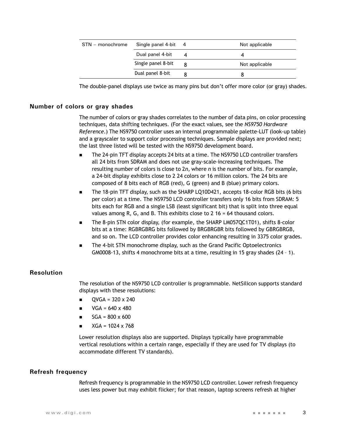| STN - monochrome | Single panel 4-bit 4 | Not applicable |
|------------------|----------------------|----------------|
|                  | Dual panel 4-bit     |                |
|                  | Single panel 8-bit   | Not applicable |
|                  | Dual panel 8-bit     |                |

The double-panel displays use twice as many pins but don't offer more color (or gray) shades.

#### **Number of colors or gray shades**

The number of colors or gray shades correlates to the number of data pins, on color processing techniques, data shifting techniques. (For the exact values, see the *NS9750 Hardware Reference*.) The NS9750 controller uses an internal programmable palette-LUT (look-up table) and a grayscaler to support color processing techniques. Sample displays are provided next; the last three listed will be tested with the NS9750 development board.

- **The 24-pin TFT display accepts 24 bits at a time. The NS9750 LCD controller transfers** all 24 bits from SDRAM and does not use gray-scale-increasing techniques. The resulting number of colors is close to 2*n*, where *n* is the number of bits. For example, a 24-bit display exhibits close to 2 24 colors or 16 million colors. The 24 bits are composed of 8 bits each of RGB (red), G (green) and B (blue) primary colors.
- The 18-pin TFT display, such as the SHARP LQ10D421, accepts 18-color RGB bits (6 bits per color) at a time. The NS9750 LCD controller transfers only 16 bits from SDRAM: 5 bits each for RGB and a single LSB (least significant bit) that is split into three equal values among R, G, and B. This exhibits close to 2 16 = 64 thousand colors.
- The 8-pin STN color display, (for example, the SHARP LM057QC1T01), shifts 8-color bits at a time: RGBRGBRG bits followed by BRGBRGBR bits followed by GBRGBRGB, and so on. The LCD controller provides color enhancing resulting in 3375 color grades.
- The 4-bit STN monochrome display, such as the Grand Pacific Optoelectronics GM0008-13, shifts 4 monochrome bits at a time, resulting in 15 gray shades (24 – 1).

#### **Resolution**

The resolution of the NS9750 LCD controller is programmable. NetSilicon supports standard displays with these resolutions:

- $\blacksquare$  QVGA = 320 x 240
- $VGA = 640 \times 480$
- $\blacksquare$  SGA = 800 x 600
- $XGA = 1024 \times 768$

Lower resolution displays also are supported. Displays typically have programmable vertical resolutions within a certain range, especially if they are used for TV displays (to accommodate different TV standards).

#### **Refresh frequency**

Refresh frequency is programmable in the NS9750 LCD controller. Lower refresh frequency uses less power but may exhibit flicker; for that reason, laptop screens refresh at higher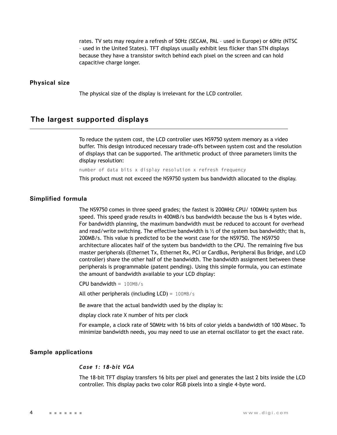rates. TV sets may require a refresh of 50Hz (SECAM, PAL – used in Europe) or 60Hz (NTSC – used in the United States). TFT displays usually exhibit less flicker than STN displays because they have a transistor switch behind each pixel on the screen and can hold capacitive charge longer.

#### **Physical size**

The physical size of the display is irrelevant for the LCD controller.

### **The largest supported displays**

To reduce the system cost, the LCD controller uses NS9750 system memory as a video buffer. This design introduced necessary trade-offs between system cost and the resolution of displays that can be supported. The arithmetic product of three parameters limits the display resolution:

number of data bits x display resolution x refresh frequency

This product must not exceed the NS9750 system bus bandwidth allocated to the display.

#### **Simplified formula**

The NS9750 comes in three speed grades; the fastest is 200MHz CPU/ 100MHz system bus speed. This speed grade results in 400MB/s bus bandwidth because the bus is 4 bytes wide. For bandwidth planning, the maximum bandwidth must be reduced to account for overhead and read/write switching. The effective bandwidth is  $\frac{1}{2}$  of the system bus bandwidth; that is, 200MB/s. This value is predicted to be the worst case for the NS9750. The NS9750 architecture allocates half of the system bus bandwidth to the CPU. The remaining five bus master peripherals (Ethernet Tx, Ethernet Rx, PCI or CardBus, Peripheral Bus Bridge, and LCD controller) share the other half of the bandwidth. The bandwidth assignment between these peripherals is programmable (patent pending). Using this simple formula, you can estimate the amount of bandwidth available to your LCD display:

CPU bandwidth  $= 100$ MB/s

All other peripherals (including  $LCD$ ) = 100MB/s

Be aware that the actual bandwidth used by the display is:

display clock rate X number of hits per clock

For example, a clock rate of 50MHz with 16 bits of color yields a bandwidth of 100 Mbsec. To minimize bandwidth needs, you may need to use an eternal oscillator to get the exact rate.

#### **Sample applications**

#### *Case 1: 18-bit VGA*

The 18-bit TFT display transfers 16 bits per pixel and generates the last 2 bits inside the LCD controller. This display packs two color RGB pixels into a single 4-byte word.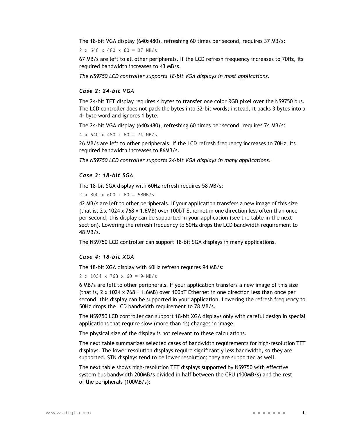The 18-bit VGA display (640x480), refreshing 60 times per second, requires 37 MB/s:

 $2 \times 640 \times 480 \times 60 = 37 \text{ MB/s}$ 

67 MB/s are left to all other peripherals. If the LCD refresh frequency increases to 70Hz, its required bandwidth increases to 43 MB/s.

*The NS9750 LCD controller supports 18-bit VGA displays in most applications*.

#### *Case 2: 24-bit VGA*

The 24-bit TFT display requires 4 bytes to transfer one color RGB pixel over the NS9750 bus. The LCD controller does not pack the bytes into 32-bit words; instead, it packs 3 bytes into a 4- byte word and ignores 1 byte.

The 24-bit VGA display (640x480), refreshing 60 times per second, requires 74 MB/s:

```
4 \times 640 \times 480 \times 60 = 74 \text{ MB/s}
```
26 MB/s are left to other peripherals. If the LCD refresh frequency increases to 70Hz, its required bandwidth increases to 86MB/s.

*The NS9750 LCD controller supports 24-bit VGA displays in many applications***.**

#### *Case 3: 18-bit SGA*

The 18-bit SGA display with 60Hz refresh requires 58 MB/s:

```
2 \times 800 \times 600 \times 60 = 58MB/s
```
42 MB/s are left to other peripherals. If your application transfers a new image of this size (that is,  $2 \times 1024 \times 768 = 1.6MB$ ) over 100bT Ethernet in one direction less often than once per second, this display can be supported in your application (see the table in the next section). Lowering the refresh frequency to 50Hz drops the LCD bandwidth requirement to 48 MB/s.

The NS9750 LCD controller can support 18-bit SGA displays in many applications.

#### *Case 4: 18-bit XGA*

The 18-bit XGA display with 60Hz refresh requires 94 MB/s:

```
2 \times 1024 \times 768 \times 60 = 94MB/s
```
6 MB/s are left to other peripherals. If your application transfers a new image of this size (that is,  $2 \times 1024 \times 768 = 1.6MB$ ) over 100bT Ethernet in one direction less than once per second, this display can be supported in your application. Lowering the refresh frequency to 50Hz drops the LCD bandwidth requirement to 78 MB/s.

The NS9750 LCD controller can support 18-bit XGA displays only with careful design in special applications that require slow (more than 1s) changes in image.

The physical size of the display is not relevant to these calculations.

The next table summarizes selected cases of bandwidth requirements for high-resolution TFT displays. The lower resolution displays require significantly less bandwidth, so they are supported. STN displays tend to be lower resolution; they are supported as well.

The next table shows high-resolution TFT displays supported by NS9750 with effective system bus bandwidth 200MB/s divided in half between the CPU (100MB/s) and the rest of the peripherals (100MB/s):

www.digi.com  $\overline{5}$